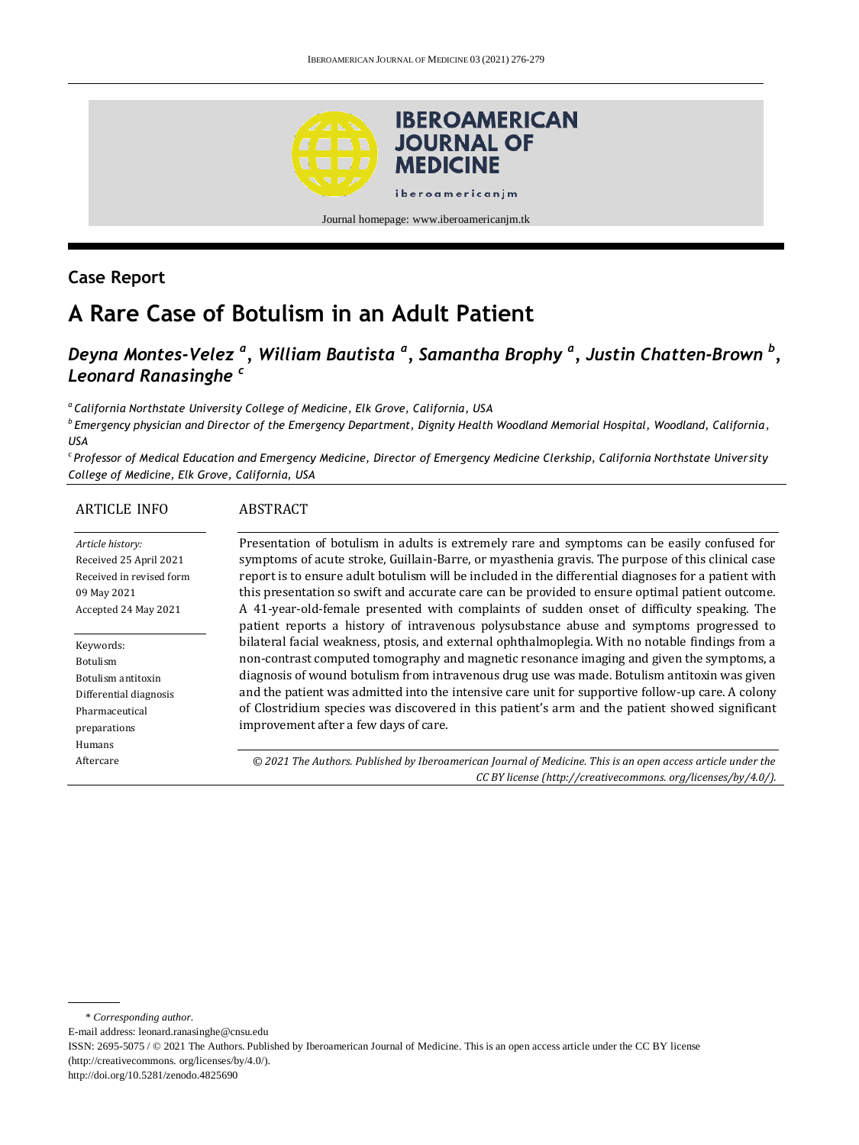

Journal homepage: www.iberoamericanjm.tk

## **Case Report**

# **A Rare Case of Botulism in an Adult Patient**

## *Deyna Montes-Velez <sup>a</sup> , William Bautista <sup>a</sup> , Samantha Brophy <sup>a</sup> , Justin Chatten-Brown <sup>b</sup> , Leonard Ranasinghe <sup>c</sup>*

*<sup>a</sup>California Northstate University College of Medicine, Elk Grove, California, USA*

*b Emergency physician and Director of the Emergency Department, Dignity Health Woodland Memorial Hospital, Woodland, California, USA*

*c Professor of Medical Education and Emergency Medicine, Director of Emergency Medicine Clerkship, California Northstate Univer sity College of Medicine, Elk Grove, California, USA*

| <b>ARTICLE INFO</b>                                                                                               | <b>ABSTRACT</b>                                                                                                                                                                                                                                                                                                                                                                                                                                                                                                                                                                                       |
|-------------------------------------------------------------------------------------------------------------------|-------------------------------------------------------------------------------------------------------------------------------------------------------------------------------------------------------------------------------------------------------------------------------------------------------------------------------------------------------------------------------------------------------------------------------------------------------------------------------------------------------------------------------------------------------------------------------------------------------|
| Article history:<br>Received 25 April 2021<br>Received in revised form<br>09 May 2021<br>Accepted 24 May 2021     | Presentation of botulism in adults is extremely rare and symptoms can be easily confused for<br>symptoms of acute stroke, Guillain-Barre, or myasthenia gravis. The purpose of this clinical case<br>report is to ensure adult botulism will be included in the differential diagnoses for a patient with<br>this presentation so swift and accurate care can be provided to ensure optimal patient outcome.<br>A 41-year-old-female presented with complaints of sudden onset of difficulty speaking. The<br>patient reports a history of intravenous polysubstance abuse and symptoms progressed to |
| Keywords:<br>Botulism<br>Botulism antitoxin<br>Differential diagnosis<br>Pharmaceutical<br>preparations<br>Humans | bilateral facial weakness, ptosis, and external ophthalmoplegia. With no notable findings from a<br>non-contrast computed tomography and magnetic resonance imaging and given the symptoms, a<br>diagnosis of wound botulism from intravenous drug use was made. Botulism antitoxin was given<br>and the patient was admitted into the intensive care unit for supportive follow-up care. A colony<br>of Clostridium species was discovered in this patient's arm and the patient showed significant<br>improvement after a few days of care.                                                         |
| Aftercare                                                                                                         | © 2021 The Authors. Published by Iberoamerican Journal of Medicine. This is an open access article under the<br>CC BY license (http://creativecommons.org/licenses/by/4.0/).                                                                                                                                                                                                                                                                                                                                                                                                                          |

E-mail address: leonard.ranasinghe@cnsu.edu

http://doi.org/10.5281/zenodo.4825690

<sup>\*</sup> *Corresponding author.*

ISSN: 2695-5075 / © 2021 The Authors. Published by Iberoamerican Journal of Medicine. This is an open access article under the CC BY license (http://creativecommons. org/licenses/by/4.0/).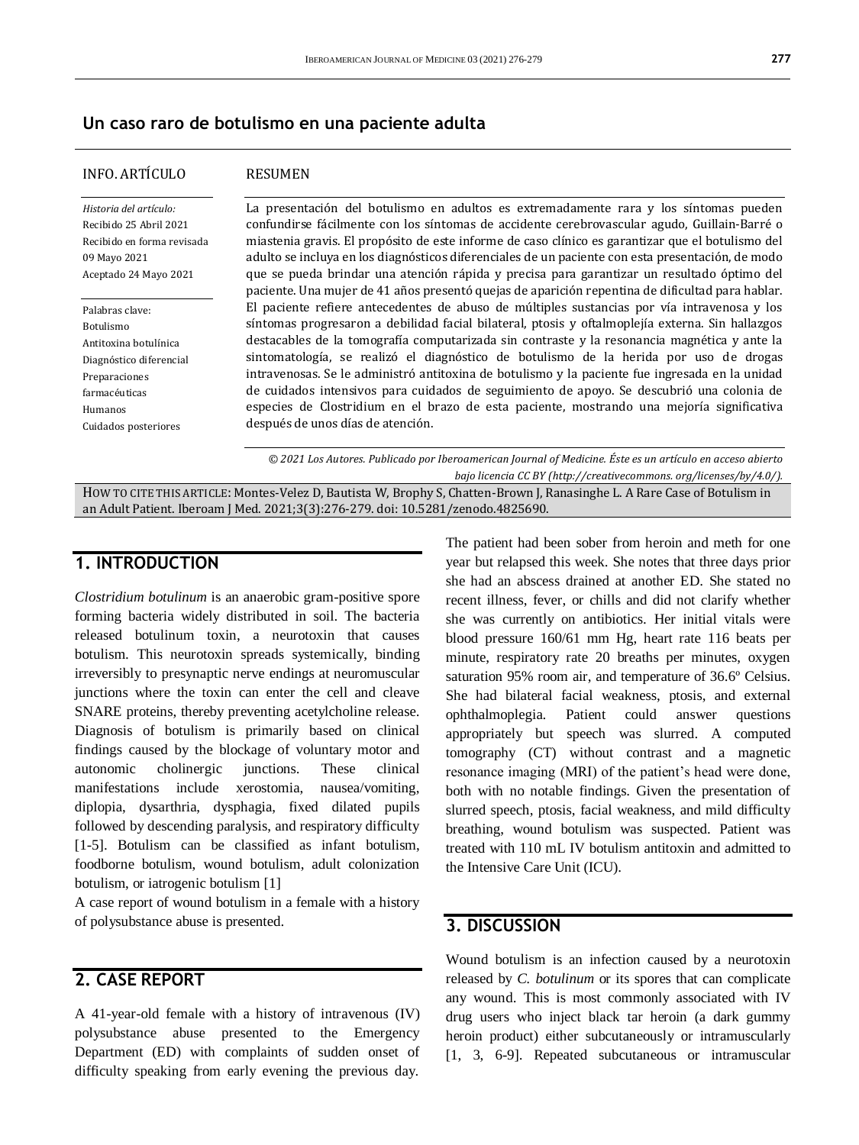#### **Un caso raro de botulismo en una paciente adulta**

#### INFO. ARTÍCULO

#### RESUMEN

*Historia del artículo:*  Recibido 25 Abril 2021 Recibido en forma revisada 09 Mayo 2021 Aceptado 24 Mayo 2021

Palabras clave: Botulismo Antitoxina botulínica Diagnóstico diferencial Preparaciones farmacéuticas Humanos Cuidados posteriores

La presentación del botulismo en adultos es extremadamente rara y los síntomas pueden confundirse fácilmente con los síntomas de accidente cerebrovascular agudo, Guillain-Barré o miastenia gravis. El propósito de este informe de caso clínico es garantizar que el botulismo del adulto se incluya en los diagnósticos diferenciales de un paciente con esta presentación, de modo que se pueda brindar una atención rápida y precisa para garantizar un resultado óptimo del paciente. Una mujer de 41 años presentó quejas de aparición repentina de dificultad para hablar. El paciente refiere antecedentes de abuso de múltiples sustancias por vía intravenosa y los síntomas progresaron a debilidad facial bilateral, ptosis y oftalmoplejía externa. Sin hallazgos destacables de la tomografía computarizada sin contraste y la resonancia magnética y ante la sintomatología, se realizó el diagnóstico de botulismo de la herida por uso de drogas intravenosas. Se le administró antitoxina de botulismo y la paciente fue ingresada en la unidad de cuidados intensivos para cuidados de seguimiento de apoyo. Se descubrió una colonia de especies de Clostridium en el brazo de esta paciente, mostrando una mejoría significativa después de unos días de atención.

*© 2021 Los Autores. Publicado por Iberoamerican Journal of Medicine. Éste es un artículo en acceso abierto bajo licencia CC BY (http:/[/creativecommons. org/licenses/by/4.0/\)](https://creativecommons.org/licenses/by/4.0/).*

HOW TO CITE THIS ARTICLE: Montes-Velez D, Bautista W, Brophy S, Chatten-Brown J, Ranasinghe L. A Rare Case of Botulism in an Adult Patient. Iberoam J Med. 2021;3(3):276-279. doi[: 10.5281/zenodo.4825690.](http://doi.org/10.5281/zenodo.4825690)

#### **1. INTRODUCTION**

*Clostridium botulinum* is an anaerobic gram-positive spore forming bacteria widely distributed in soil. The bacteria released botulinum toxin, a neurotoxin that causes botulism. This neurotoxin spreads systemically, binding irreversibly to presynaptic nerve endings at neuromuscular junctions where the toxin can enter the cell and cleave SNARE proteins, thereby preventing acetylcholine release. Diagnosis of botulism is primarily based on clinical findings caused by the blockage of voluntary motor and autonomic cholinergic junctions. These clinical manifestations include xerostomia, nausea/vomiting, diplopia, dysarthria, dysphagia, fixed dilated pupils followed by descending paralysis, and respiratory difficulty [1-5]. Botulism can be classified as infant botulism, foodborne botulism, wound botulism, adult colonization botulism, or iatrogenic botulism [1]

A case report of wound botulism in a female with a history of polysubstance abuse is presented.

#### **2. CASE REPORT**

A 41-year-old female with a history of intravenous (IV) polysubstance abuse presented to the Emergency Department (ED) with complaints of sudden onset of difficulty speaking from early evening the previous day.

The patient had been sober from heroin and meth for one year but relapsed this week. She notes that three days prior she had an abscess drained at another ED. She stated no recent illness, fever, or chills and did not clarify whether she was currently on antibiotics. Her initial vitals were blood pressure 160/61 mm Hg, heart rate 116 beats per minute, respiratory rate 20 breaths per minutes, oxygen saturation 95% room air, and temperature of 36.6º Celsius. She had bilateral facial weakness, ptosis, and external ophthalmoplegia. Patient could answer questions appropriately but speech was slurred. A computed tomography (CT) without contrast and a magnetic resonance imaging (MRI) of the patient's head were done, both with no notable findings. Given the presentation of slurred speech, ptosis, facial weakness, and mild difficulty breathing, wound botulism was suspected. Patient was treated with 110 mL IV botulism antitoxin and admitted to the Intensive Care Unit (ICU).

### **3. DISCUSSION**

Wound botulism is an infection caused by a neurotoxin released by *C. botulinum* or its spores that can complicate any wound. This is most commonly associated with IV drug users who inject black tar heroin (a dark gummy heroin product) either subcutaneously or intramuscularly [1, 3, 6-9]. Repeated subcutaneous or intramuscular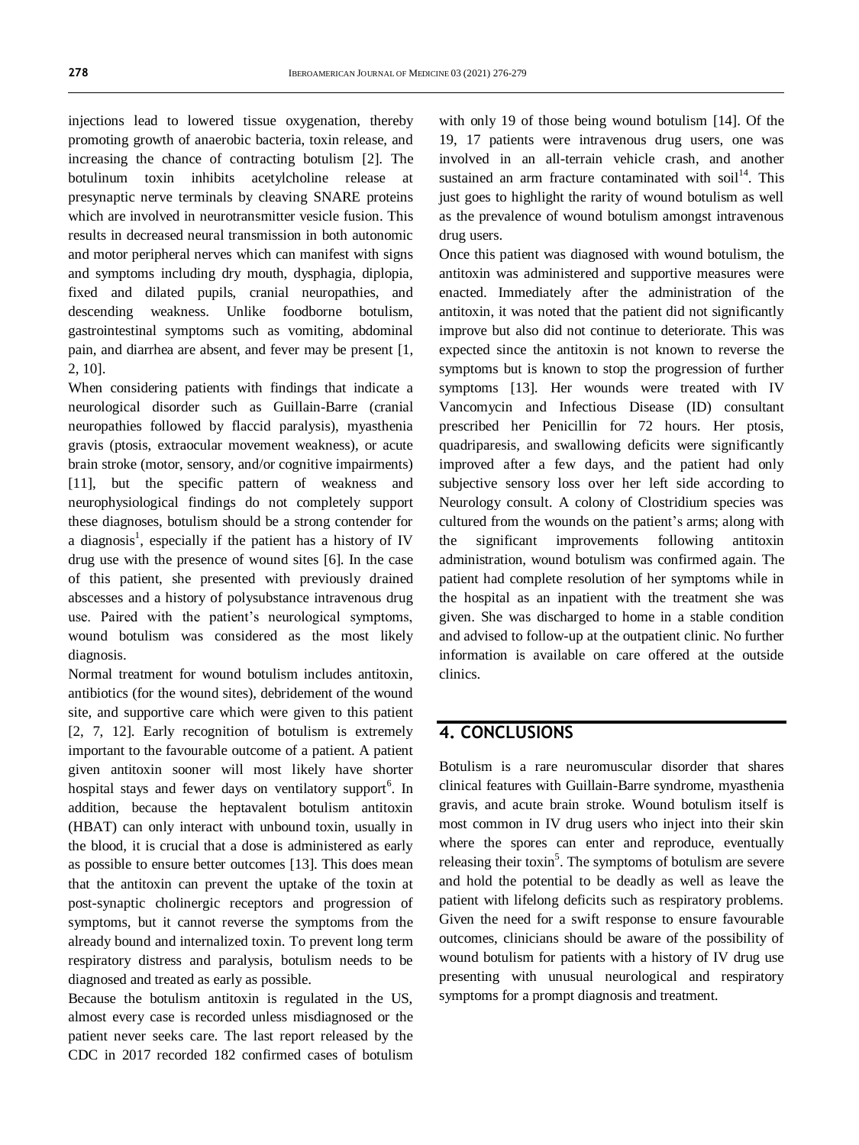injections lead to lowered tissue oxygenation, thereby promoting growth of anaerobic bacteria, toxin release, and increasing the chance of contracting botulism [2]. The botulinum toxin inhibits acetylcholine release at presynaptic nerve terminals by cleaving SNARE proteins which are involved in neurotransmitter vesicle fusion. This results in decreased neural transmission in both autonomic and motor peripheral nerves which can manifest with signs and symptoms including dry mouth, dysphagia, diplopia, fixed and dilated pupils, cranial neuropathies, and descending weakness. Unlike foodborne botulism, gastrointestinal symptoms such as vomiting, abdominal pain, and diarrhea are absent, and fever may be present [1, 2, 10].

When considering patients with findings that indicate a neurological disorder such as Guillain-Barre (cranial neuropathies followed by flaccid paralysis), myasthenia gravis (ptosis, extraocular movement weakness), or acute brain stroke (motor, sensory, and/or cognitive impairments) [11], but the specific pattern of weakness and neurophysiological findings do not completely support these diagnoses, botulism should be a strong contender for a diagnosis<sup>1</sup>, especially if the patient has a history of IV drug use with the presence of wound sites [6]. In the case of this patient, she presented with previously drained abscesses and a history of polysubstance intravenous drug use. Paired with the patient's neurological symptoms, wound botulism was considered as the most likely diagnosis.

Normal treatment for wound botulism includes antitoxin, antibiotics (for the wound sites), debridement of the wound site, and supportive care which were given to this patient [2, 7, 12]. Early recognition of botulism is extremely important to the favourable outcome of a patient. A patient given antitoxin sooner will most likely have shorter hospital stays and fewer days on ventilatory support<sup>6</sup>. In addition, because the heptavalent botulism antitoxin (HBAT) can only interact with unbound toxin, usually in the blood, it is crucial that a dose is administered as early as possible to ensure better outcomes [13]. This does mean that the antitoxin can prevent the uptake of the toxin at post-synaptic cholinergic receptors and progression of symptoms, but it cannot reverse the symptoms from the already bound and internalized toxin. To prevent long term respiratory distress and paralysis, botulism needs to be diagnosed and treated as early as possible.

Because the botulism antitoxin is regulated in the US, almost every case is recorded unless misdiagnosed or the patient never seeks care. The last report released by the CDC in 2017 recorded 182 confirmed cases of botulism with only 19 of those being wound botulism [14]. Of the 19, 17 patients were intravenous drug users, one was involved in an all-terrain vehicle crash, and another sustained an arm fracture contaminated with  $\text{soil}^{14}$ . This just goes to highlight the rarity of wound botulism as well as the prevalence of wound botulism amongst intravenous drug users.

Once this patient was diagnosed with wound botulism, the antitoxin was administered and supportive measures were enacted. Immediately after the administration of the antitoxin, it was noted that the patient did not significantly improve but also did not continue to deteriorate. This was expected since the antitoxin is not known to reverse the symptoms but is known to stop the progression of further symptoms [13]. Her wounds were treated with IV Vancomycin and Infectious Disease (ID) consultant prescribed her Penicillin for 72 hours. Her ptosis, quadriparesis, and swallowing deficits were significantly improved after a few days, and the patient had only subjective sensory loss over her left side according to Neurology consult. A colony of Clostridium species was cultured from the wounds on the patient's arms; along with the significant improvements following antitoxin administration, wound botulism was confirmed again. The patient had complete resolution of her symptoms while in the hospital as an inpatient with the treatment she was given. She was discharged to home in a stable condition and advised to follow-up at the outpatient clinic. No further information is available on care offered at the outside clinics.

#### **4. CONCLUSIONS**

Botulism is a rare neuromuscular disorder that shares clinical features with Guillain-Barre syndrome, myasthenia gravis, and acute brain stroke. Wound botulism itself is most common in IV drug users who inject into their skin where the spores can enter and reproduce, eventually releasing their toxin<sup>5</sup>. The symptoms of botulism are severe and hold the potential to be deadly as well as leave the patient with lifelong deficits such as respiratory problems. Given the need for a swift response to ensure favourable outcomes, clinicians should be aware of the possibility of wound botulism for patients with a history of IV drug use presenting with unusual neurological and respiratory symptoms for a prompt diagnosis and treatment.